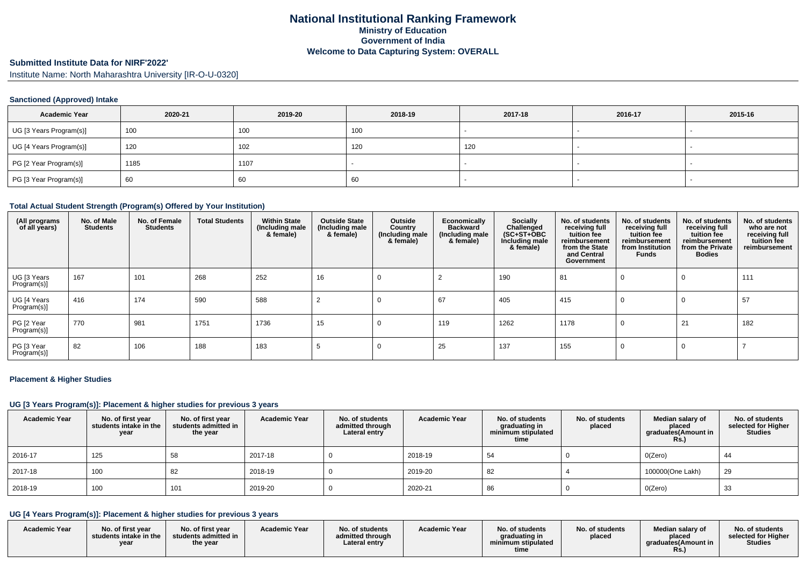#### **Submitted Institute Data for NIRF'2022'**

Institute Name: North Maharashtra University [IR-O-U-0320]

## **Sanctioned (Approved) Intake**

| <b>Academic Year</b>    | 2020-21 | 2019-20 | 2018-19 | 2017-18 | 2016-17 | 2015-16 |
|-------------------------|---------|---------|---------|---------|---------|---------|
| UG [3 Years Program(s)] | 100     | 100     | 100     |         |         |         |
| UG [4 Years Program(s)] | 120     | 102     | 120     | 120     |         |         |
| PG [2 Year Program(s)]  | 1185    | 1107    |         |         |         | $\sim$  |
| PG [3 Year Program(s)]  | 60      | 60      | 60      |         |         |         |

#### **Total Actual Student Strength (Program(s) Offered by Your Institution)**

| (All programs<br>of all years) | No. of Male<br><b>Students</b> | No. of Female<br><b>Students</b> | <b>Total Students</b> | <b>Within State</b><br>(Including male<br>& female) | <b>Outside State</b><br>(Including male<br>& female) | Outside<br>Country<br>(Including male<br>& female) | Economically<br><b>Backward</b><br>(Including male<br>& female) | <b>Socially</b><br>Challenged<br>$(SC+ST+OBC)$<br>Including male<br>& female) | No. of students<br>receiving full<br>tuition fee<br>reimbursement<br>from the State<br>and Central<br>Government | No. of students<br>receiving full<br>tuition fee<br>reimbursement<br>from Institution<br>Funds | No. of students<br>receiving full<br>tuition fee<br>reimbursement<br>from the Private<br><b>Bodies</b> | No. of students<br>who are not<br>receiving full<br>tuition fee<br>reimbursement |
|--------------------------------|--------------------------------|----------------------------------|-----------------------|-----------------------------------------------------|------------------------------------------------------|----------------------------------------------------|-----------------------------------------------------------------|-------------------------------------------------------------------------------|------------------------------------------------------------------------------------------------------------------|------------------------------------------------------------------------------------------------|--------------------------------------------------------------------------------------------------------|----------------------------------------------------------------------------------|
| UG [3 Years<br>Program(s)]     | 167                            | 101                              | 268                   | 252                                                 | 16                                                   |                                                    |                                                                 | 190                                                                           | 81                                                                                                               |                                                                                                | 0                                                                                                      | 111                                                                              |
| UG [4 Years<br>Program(s)]     | 416                            | 174                              | 590                   | 588                                                 |                                                      |                                                    | 67                                                              | 405                                                                           | 415                                                                                                              | 0                                                                                              | 0                                                                                                      | 57                                                                               |
| PG [2 Year<br>Program(s)]      | 770                            | 981                              | 1751                  | 1736                                                | 15                                                   |                                                    | 119                                                             | 1262                                                                          | 1178                                                                                                             | 0                                                                                              | 21                                                                                                     | 182                                                                              |
| PG [3 Year<br>Program(s)]      | 82                             | 106                              | 188                   | 183                                                 |                                                      |                                                    | 25                                                              | 137                                                                           | 155                                                                                                              | 0                                                                                              | 0                                                                                                      |                                                                                  |

#### **Placement & Higher Studies**

#### **UG [3 Years Program(s)]: Placement & higher studies for previous 3 years**

| <b>Academic Year</b> | No. of first year<br>students intake in the<br>year | No. of first vear<br>students admitted in<br>the year | <b>Academic Year</b> | No. of students<br>admitted through<br>Lateral entry | <b>Academic Year</b> | No. of students<br>graduating in<br>minimum stipulated<br>time | No. of students<br>placed | Median salary of<br>placed<br>graduates(Amount in<br>Rs.) | No. of students<br>selected for Higher<br><b>Studies</b> |
|----------------------|-----------------------------------------------------|-------------------------------------------------------|----------------------|------------------------------------------------------|----------------------|----------------------------------------------------------------|---------------------------|-----------------------------------------------------------|----------------------------------------------------------|
| 2016-17              | 125                                                 | 58                                                    | 2017-18              |                                                      | 2018-19              | 54                                                             |                           | O(Zero)                                                   | 44                                                       |
| 2017-18              | 100                                                 | 82                                                    | 2018-19              |                                                      | 2019-20              | 82                                                             |                           | 100000(One Lakh)                                          | 29                                                       |
| 2018-19              | 100                                                 | 101                                                   | 2019-20              |                                                      | 2020-21              | 86                                                             |                           | O(Zero)                                                   | 33                                                       |

## **UG [4 Years Program(s)]: Placement & higher studies for previous 3 years**

| <b>Academic Year</b> | No. of first year<br>students intake in the<br>vear | No. of first year<br>students admitted in<br>the year | <b>Academic Year</b> | No. of students<br>admitted through<br>Lateral entry | <b>Academic Year</b> | No. of students<br>araduating in<br>minimum stipulated<br>time | No. of students<br>placed | Median salary of<br>placed<br>araduates (Amount in<br>KS.) | No. of students<br>selected for Higher<br>Studies |
|----------------------|-----------------------------------------------------|-------------------------------------------------------|----------------------|------------------------------------------------------|----------------------|----------------------------------------------------------------|---------------------------|------------------------------------------------------------|---------------------------------------------------|
|----------------------|-----------------------------------------------------|-------------------------------------------------------|----------------------|------------------------------------------------------|----------------------|----------------------------------------------------------------|---------------------------|------------------------------------------------------------|---------------------------------------------------|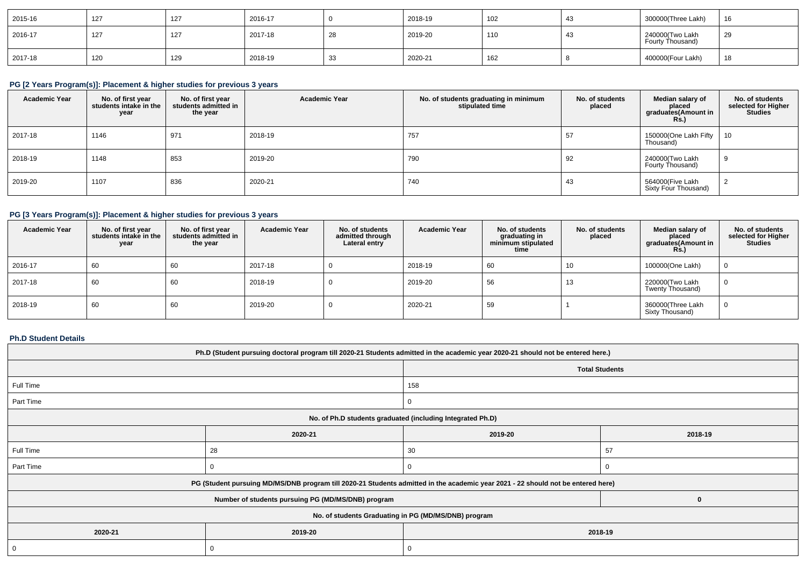| 2015-16 | 127 | 127 | 2016-17 |    | 2018-19 | 102 | 43             | 300000(Three Lakh)                  | 16 |
|---------|-----|-----|---------|----|---------|-----|----------------|-------------------------------------|----|
| 2016-17 | 127 | 127 | 2017-18 | 28 | 2019-20 | 110 | $\overline{4}$ | 240000(Two Lakh<br>Fourty Thousand) | 29 |
| 2017-18 | 120 | 129 | 2018-19 | 33 | 2020-21 | 162 |                | 400000(Four Lakh)                   | 18 |

# **PG [2 Years Program(s)]: Placement & higher studies for previous 3 years**

| <b>Academic Year</b> | No. of first year<br>students intake in the<br>year | No. of first year<br>students admitted in<br>the year | <b>Academic Year</b> | No. of students graduating in minimum<br>stipulated time | No. of students<br>placed | Median salary of<br>placed<br>graduates(Amount in<br><b>Rs.</b> ) | No. of students<br>selected for Higher<br><b>Studies</b> |
|----------------------|-----------------------------------------------------|-------------------------------------------------------|----------------------|----------------------------------------------------------|---------------------------|-------------------------------------------------------------------|----------------------------------------------------------|
| 2017-18              | 1146                                                | 971                                                   | 2018-19              | 757                                                      | 57                        | 150000(One Lakh Fifty<br>Thousand)                                | 10                                                       |
| 2018-19              | 1148                                                | 853                                                   | 2019-20              | 790                                                      | 92                        | 240000(Two Lakh<br>Fourty Thousand)                               | -9                                                       |
| 2019-20              | 1107                                                | 836                                                   | 2020-21              | 740                                                      | 43                        | 564000(Five Lakh<br>Sixty Four Thousand)                          |                                                          |

# **PG [3 Years Program(s)]: Placement & higher studies for previous 3 years**

| <b>Academic Year</b> | No. of first year<br>students intake in the<br>year | No. of first year<br>students admitted in<br>the year | <b>Academic Year</b> | No. of students<br>admitted through<br>Lateral entry | <b>Academic Year</b> | No. of students<br>graduating in<br>minimum stipulated<br>time | No. of students<br>placed | Median salary of<br>placed<br>graduates(Amount in<br>$R\ddot{s}$ .) | No. of students<br>selected for Higher<br><b>Studies</b> |
|----------------------|-----------------------------------------------------|-------------------------------------------------------|----------------------|------------------------------------------------------|----------------------|----------------------------------------------------------------|---------------------------|---------------------------------------------------------------------|----------------------------------------------------------|
| 2016-17              | 60                                                  | 60                                                    | 2017-18              |                                                      | 2018-19              | 60                                                             | 10                        | 100000(One Lakh)                                                    |                                                          |
| 2017-18              | 60                                                  | 60                                                    | 2018-19              |                                                      | 2019-20              | 56                                                             | 10                        | 220000(Two Lakh<br>Twenty Thousand)                                 |                                                          |
| 2018-19              | 60                                                  | 60                                                    | 2019-20              |                                                      | 2020-21              | 59                                                             |                           | 360000(Three Lakh<br>Sixty Thousand)                                |                                                          |

# **Ph.D Student Details**

| Ph.D (Student pursuing doctoral program till 2020-21 Students admitted in the academic year 2020-21 should not be entered here.) |                                                                                                                                  |                       |    |  |  |  |  |
|----------------------------------------------------------------------------------------------------------------------------------|----------------------------------------------------------------------------------------------------------------------------------|-----------------------|----|--|--|--|--|
|                                                                                                                                  |                                                                                                                                  | <b>Total Students</b> |    |  |  |  |  |
| Full Time                                                                                                                        |                                                                                                                                  | 158                   |    |  |  |  |  |
| Part Time                                                                                                                        |                                                                                                                                  |                       |    |  |  |  |  |
| No. of Ph.D students graduated (including Integrated Ph.D)                                                                       |                                                                                                                                  |                       |    |  |  |  |  |
|                                                                                                                                  | 2019-20<br>2020-21                                                                                                               |                       |    |  |  |  |  |
| Full Time                                                                                                                        | 28                                                                                                                               | 30                    | 57 |  |  |  |  |
| Part Time                                                                                                                        |                                                                                                                                  |                       |    |  |  |  |  |
|                                                                                                                                  | PG (Student pursuing MD/MS/DNB program till 2020-21 Students admitted in the academic year 2021 - 22 should not be entered here) |                       |    |  |  |  |  |
|                                                                                                                                  | Number of students pursuing PG (MD/MS/DNB) program                                                                               |                       |    |  |  |  |  |
| No. of students Graduating in PG (MD/MS/DNB) program                                                                             |                                                                                                                                  |                       |    |  |  |  |  |
| 2020-21                                                                                                                          | 2019-20                                                                                                                          | 2018-19               |    |  |  |  |  |
|                                                                                                                                  |                                                                                                                                  |                       |    |  |  |  |  |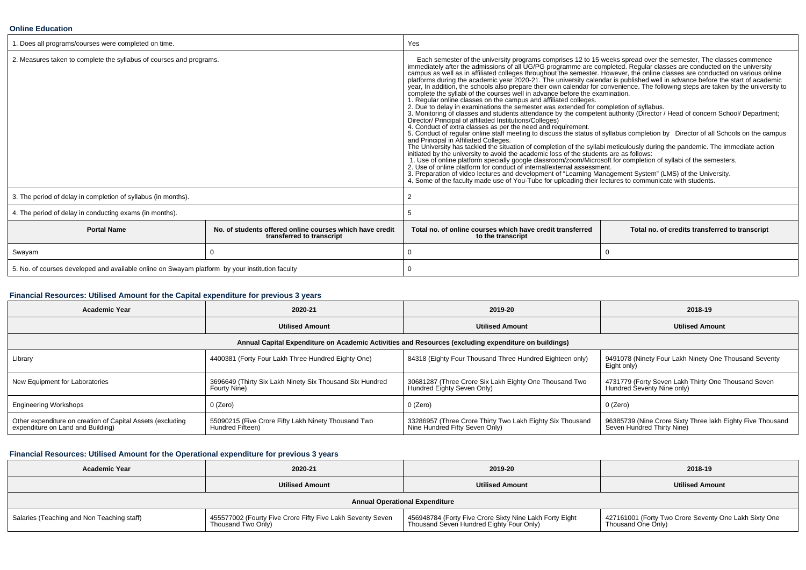#### **Online Education**

| 1. Does all programs/courses were completed on time.                                            |                                                                                       | Yes                                                                                                                                                                                                                                                                                                                                                                                                                                                                                                                                                                                                                                                                                                                                                                                                                                                                                                                                                                                                                                                                                                                                                                                                                                                                                                                                                                                                                                                                                                                                                                                                                                                                                                                                                                                                                                                                                                                                               |                                                |  |  |
|-------------------------------------------------------------------------------------------------|---------------------------------------------------------------------------------------|---------------------------------------------------------------------------------------------------------------------------------------------------------------------------------------------------------------------------------------------------------------------------------------------------------------------------------------------------------------------------------------------------------------------------------------------------------------------------------------------------------------------------------------------------------------------------------------------------------------------------------------------------------------------------------------------------------------------------------------------------------------------------------------------------------------------------------------------------------------------------------------------------------------------------------------------------------------------------------------------------------------------------------------------------------------------------------------------------------------------------------------------------------------------------------------------------------------------------------------------------------------------------------------------------------------------------------------------------------------------------------------------------------------------------------------------------------------------------------------------------------------------------------------------------------------------------------------------------------------------------------------------------------------------------------------------------------------------------------------------------------------------------------------------------------------------------------------------------------------------------------------------------------------------------------------------------|------------------------------------------------|--|--|
| 2. Measures taken to complete the syllabus of courses and programs.                             |                                                                                       | Each semester of the university programs comprises 12 to 15 weeks spread over the semester, The classes commence<br>immediately after the admissions of all UG/PG programme are completed. Regular classes are conducted on the university<br>campus as well as in affiliated colleges throughout the semester. However, the online classes are conducted on various online platforms during the academic year 2020-21. The university calendar is published well in advance<br>year, In addition, the schools also prepare their own calendar for convenience. The following steps are taken by the university to<br>complete the syllabi of the courses well in advance before the examination.<br>1. Regular online classes on the campus and affiliated colleges.<br>2. Due to delay in examinations the semester was extended for completion of syllabus.<br>3. Monitoring of classes and students attendance by the competent authority (Director / Head of concern School/ Department;<br>Director/ Principal of affiliated Institutions/Colleges)<br>4. Conduct of extra classes as per the need and requirement.<br>5. Conduct of regular online staff meeting to discuss the status of syllabus completion by Director of all Schools on the campus and Principal in Affiliated Colleges.<br>The University has tackled the situation of completion of the syllabi meticulously during the pandemic. The immediate action<br>initiated by the university to avoid the academic loss of the students are as follows:<br>1. Use of online platform specially google classroom/zoom/Microsoft for completion of syllabi of the semesters.<br>2. Use of online platform for conduct of internal/external assessment.<br>3. Preparation of video lectures and development of "Learning Management System" (LMS) of the University.<br>4. Some of the faculty made use of You-Tube for uploading their lectures to communicate with students. |                                                |  |  |
| 3. The period of delay in completion of syllabus (in months).                                   |                                                                                       | 2                                                                                                                                                                                                                                                                                                                                                                                                                                                                                                                                                                                                                                                                                                                                                                                                                                                                                                                                                                                                                                                                                                                                                                                                                                                                                                                                                                                                                                                                                                                                                                                                                                                                                                                                                                                                                                                                                                                                                 |                                                |  |  |
| 4. The period of delay in conducting exams (in months).                                         |                                                                                       |                                                                                                                                                                                                                                                                                                                                                                                                                                                                                                                                                                                                                                                                                                                                                                                                                                                                                                                                                                                                                                                                                                                                                                                                                                                                                                                                                                                                                                                                                                                                                                                                                                                                                                                                                                                                                                                                                                                                                   |                                                |  |  |
| <b>Portal Name</b>                                                                              | No. of students offered online courses which have credit<br>transferred to transcript | Total no. of online courses which have credit transferred<br>to the transcript                                                                                                                                                                                                                                                                                                                                                                                                                                                                                                                                                                                                                                                                                                                                                                                                                                                                                                                                                                                                                                                                                                                                                                                                                                                                                                                                                                                                                                                                                                                                                                                                                                                                                                                                                                                                                                                                    | Total no. of credits transferred to transcript |  |  |
| Swayam                                                                                          | $\Omega$                                                                              |                                                                                                                                                                                                                                                                                                                                                                                                                                                                                                                                                                                                                                                                                                                                                                                                                                                                                                                                                                                                                                                                                                                                                                                                                                                                                                                                                                                                                                                                                                                                                                                                                                                                                                                                                                                                                                                                                                                                                   | $\Omega$                                       |  |  |
| 5. No. of courses developed and available online on Swayam platform by your institution faculty |                                                                                       |                                                                                                                                                                                                                                                                                                                                                                                                                                                                                                                                                                                                                                                                                                                                                                                                                                                                                                                                                                                                                                                                                                                                                                                                                                                                                                                                                                                                                                                                                                                                                                                                                                                                                                                                                                                                                                                                                                                                                   |                                                |  |  |

## **Financial Resources: Utilised Amount for the Capital expenditure for previous 3 years**

| <b>Academic Year</b>                                                                                 | 2020-21                                                                  | 2019-20                                                                                     | 2018-19                                                                                  |  |  |  |  |  |
|------------------------------------------------------------------------------------------------------|--------------------------------------------------------------------------|---------------------------------------------------------------------------------------------|------------------------------------------------------------------------------------------|--|--|--|--|--|
|                                                                                                      | <b>Utilised Amount</b>                                                   | <b>Utilised Amount</b>                                                                      | <b>Utilised Amount</b>                                                                   |  |  |  |  |  |
| Annual Capital Expenditure on Academic Activities and Resources (excluding expenditure on buildings) |                                                                          |                                                                                             |                                                                                          |  |  |  |  |  |
| Library                                                                                              | 4400381 (Forty Four Lakh Three Hundred Eighty One)                       | 84318 (Eighty Four Thousand Three Hundred Eighteen only)                                    | 9491078 (Ninety Four Lakh Ninety One Thousand Seventy<br>Eight only)                     |  |  |  |  |  |
| New Equipment for Laboratories                                                                       | 3696649 (Thirty Six Lakh Ninety Six Thousand Six Hundred<br>Fourty Nine) | 30681287 (Three Crore Six Lakh Eighty One Thousand Two<br>Hundred Eighty Seven Only)        | 4731779 (Forty Seven Lakh Thirty One Thousand Seven<br>Hundred Seventy Nine only)        |  |  |  |  |  |
| <b>Engineering Workshops</b>                                                                         | 0 (Zero)                                                                 | 0 (Zero)                                                                                    | 0 (Zero)                                                                                 |  |  |  |  |  |
| Other expenditure on creation of Capital Assets (excluding<br>expenditure on Land and Building)      | 55090215 (Five Crore Fifty Lakh Ninety Thousand Two<br>Hundred Fifteen)  | 33286957 (Three Crore Thirty Two Lakh Eighty Six Thousand<br>Nine Hundred Fifty Seven Only) | 96385739 (Nine Crore Sixty Three lakh Eighty Five Thousand<br>Seven Hundred Thirty Nine) |  |  |  |  |  |

## **Financial Resources: Utilised Amount for the Operational expenditure for previous 3 years**

| <b>Academic Year</b>                       | 2020-21                                                                          | 2019-20                                                                                             | 2018-19                                                                       |  |  |  |  |
|--------------------------------------------|----------------------------------------------------------------------------------|-----------------------------------------------------------------------------------------------------|-------------------------------------------------------------------------------|--|--|--|--|
|                                            | <b>Utilised Amount</b>                                                           | <b>Utilised Amount</b>                                                                              | <b>Utilised Amount</b>                                                        |  |  |  |  |
| <b>Annual Operational Expenditure</b>      |                                                                                  |                                                                                                     |                                                                               |  |  |  |  |
| Salaries (Teaching and Non Teaching staff) | 455577002 (Fourty Five Crore Fifty Five Lakh Seventy Seven<br>Thousand Two Only) | 456948784 (Forty Five Crore Sixty Nine Lakh Forty Eight<br>Thousand Seven Hundred Eighty Four Only) | 1 427161001 (Forty Two Crore Seventy One Lakh Sixty One<br>Thousand One Only) |  |  |  |  |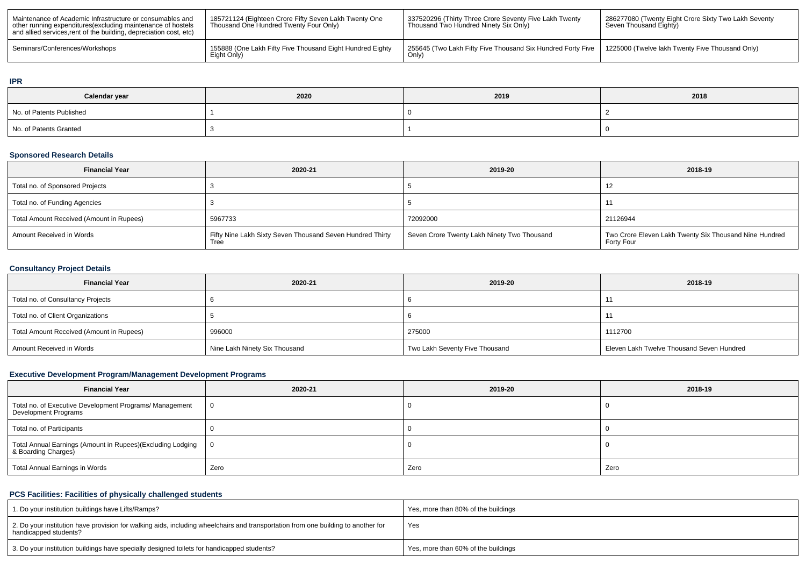| Maintenance of Academic Infrastructure or consumables and<br>other running expenditures (excluding maintenance of hostels<br>and allied services, rent of the building, depreciation cost, etc) | 185721124 (Eighteen Crore Fifty Seven Lakh Twenty One<br>Thousand One Hundred Twenty Four Only) | 337520296 (Thirty Three Crore Seventy Five Lakh Twenty<br>Thousand Two Hundred Ninety Six Only) | 1 286277080 (Twenty Eight Crore Sixty Two Lakh Seventy<br>Seven Thousand Eighty) |
|-------------------------------------------------------------------------------------------------------------------------------------------------------------------------------------------------|-------------------------------------------------------------------------------------------------|-------------------------------------------------------------------------------------------------|----------------------------------------------------------------------------------|
| Seminars/Conferences/Workshops                                                                                                                                                                  | 155888 (One Lakh Fifty Five Thousand Eight Hundred Eighty<br>Eight Only)                        | 255645 (Two Lakh Fifty Five Thousand Six Hundred Forty Five  <br>Only                           | 1225000 (Twelve lakh Twenty Five Thousand Only)                                  |

## **IPR**

| Calendar year            | 2020 | 2019 | 2018 |
|--------------------------|------|------|------|
| No. of Patents Published |      |      |      |
| No. of Patents Granted   |      |      |      |

## **Sponsored Research Details**

| <b>Financial Year</b>                    | 2020-21                                                           | 2019-20                                     | 2018-19                                                              |
|------------------------------------------|-------------------------------------------------------------------|---------------------------------------------|----------------------------------------------------------------------|
| Total no. of Sponsored Projects          |                                                                   |                                             | ے ا                                                                  |
| Total no. of Funding Agencies            |                                                                   |                                             |                                                                      |
| Total Amount Received (Amount in Rupees) | 5967733                                                           | 72092000                                    | 21126944                                                             |
| Amount Received in Words                 | Fifty Nine Lakh Sixty Seven Thousand Seven Hundred Thirty<br>Tree | Seven Crore Twenty Lakh Ninety Two Thousand | Two Crore Eleven Lakh Twenty Six Thousand Nine Hundred<br>Forty Four |

## **Consultancy Project Details**

| <b>Financial Year</b>                    | 2020-21                       | 2019-20                        | 2018-19                                   |
|------------------------------------------|-------------------------------|--------------------------------|-------------------------------------------|
| Total no. of Consultancy Projects        |                               |                                |                                           |
| Total no. of Client Organizations        |                               |                                |                                           |
| Total Amount Received (Amount in Rupees) | 996000                        | 275000                         | 1112700                                   |
| Amount Received in Words                 | Nine Lakh Ninety Six Thousand | Two Lakh Seventy Five Thousand | Eleven Lakh Twelve Thousand Seven Hundred |

# **Executive Development Program/Management Development Programs**

| <b>Financial Year</b>                                                             | 2020-21  | 2019-20 | 2018-19 |
|-----------------------------------------------------------------------------------|----------|---------|---------|
| Total no. of Executive Development Programs/ Management<br>Development Programs   | <b>O</b> |         |         |
| Total no. of Participants                                                         |          |         |         |
| Total Annual Earnings (Amount in Rupees)(Excluding Lodging<br>& Boarding Charges) | - 0      |         |         |
| Total Annual Earnings in Words                                                    | Zero     | Zero    | Zero    |

## **PCS Facilities: Facilities of physically challenged students**

| 1. Do your institution buildings have Lifts/Ramps?                                                                                                         | Yes, more than 80% of the buildings |
|------------------------------------------------------------------------------------------------------------------------------------------------------------|-------------------------------------|
| 2. Do your institution have provision for walking aids, including wheelchairs and transportation from one building to another for<br>handicapped students? | Yes                                 |
| 3. Do your institution buildings have specially designed toilets for handicapped students?                                                                 | Yes, more than 60% of the buildings |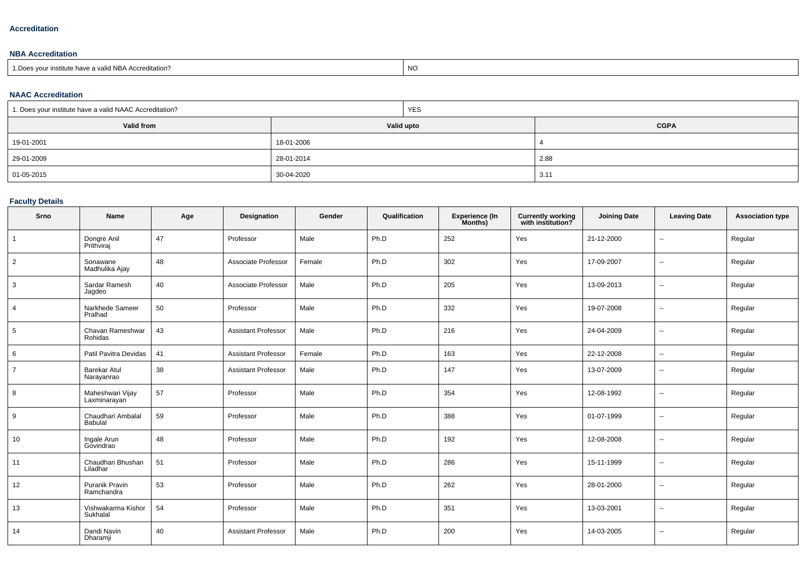## **Accreditation**

## **NBA Accreditation**

| valid NBA Accreditation?<br>1. Does vour institute have a v | NO |
|-------------------------------------------------------------|----|

## **NAAC Accreditation**

| 1. Does your institute have a valid NAAC Accreditation? |            | <b>YES</b> |             |
|---------------------------------------------------------|------------|------------|-------------|
| Valid from                                              | Valid upto |            | <b>CGPA</b> |
| 19-01-2001                                              | 18-01-2006 |            |             |
| 29-01-2009                                              | 28-01-2014 |            | 2.88        |
| 01-05-2015                                              | 30-04-2020 |            | 3.1'        |

## **Faculty Details**

| Srno            | <b>Name</b>                       | Age | Designation                | Gender | Qualification | <b>Experience (In</b><br>Months) | <b>Currently working</b><br>with institution? | <b>Joining Date</b> | <b>Leaving Date</b>      | <b>Association type</b> |
|-----------------|-----------------------------------|-----|----------------------------|--------|---------------|----------------------------------|-----------------------------------------------|---------------------|--------------------------|-------------------------|
| $\overline{1}$  | Dongre Anil<br>Prithviraj         | 47  | Professor                  | Male   | Ph.D          | 252                              | Yes                                           | 21-12-2000          | $\mathbf{u}$             | Regular                 |
| $\overline{2}$  | Sonawane<br>Madhulika Ajay        | 48  | Associate Professor        | Female | Ph.D          | 302                              | Yes                                           | 17-09-2007          | $\mathbf{u}$             | Regular                 |
| 3               | Sardar Ramesh<br>Jagdeo           | 40  | Associate Professor        | Male   | Ph.D          | 205                              | Yes                                           | 13-09-2013          | $\overline{\phantom{a}}$ | Regular                 |
| $\overline{4}$  | Narkhede Sameer<br>Pralhad        | 50  | Professor                  | Male   | Ph.D          | 332                              | Yes                                           | 19-07-2008          | $\overline{\phantom{a}}$ | Regular                 |
| $5\overline{)}$ | Chavan Rameshwar<br>Rohidas       | 43  | <b>Assistant Professor</b> | Male   | Ph.D          | 216                              | Yes                                           | 24-04-2009          | $\overline{\phantom{a}}$ | Regular                 |
| 6               | Patil Pavitra Devidas             | 41  | <b>Assistant Professor</b> | Female | Ph.D          | 163                              | Yes                                           | 22-12-2008          | $\mathbf{u}$             | Regular                 |
| $\overline{7}$  | <b>Barekar Atul</b><br>Narayanrao | 38  | <b>Assistant Professor</b> | Male   | Ph.D          | 147                              | Yes                                           | 13-07-2009          | ۰.                       | Regular                 |
| 8               | Maheshwari Vijay<br>Laxminarayan  | 57  | Professor                  | Male   | Ph.D          | 354                              | Yes                                           | 12-08-1992          | $\sim$                   | Regular                 |
| 9               | Chaudhari Ambalal<br>Babulal      | 59  | Professor                  | Male   | Ph.D          | 388                              | Yes                                           | 01-07-1999          | $\overline{\phantom{a}}$ | Regular                 |
| 10              | Ingale Arun<br>Govindrao          | 48  | Professor                  | Male   | Ph.D          | 192                              | Yes                                           | 12-08-2008          | $\overline{\phantom{a}}$ | Regular                 |
| 11              | Chaudhari Bhushan<br>Liladhar     | 51  | Professor                  | Male   | Ph.D          | 286                              | Yes                                           | 15-11-1999          | $\overline{\phantom{a}}$ | Regular                 |
| 12              | Puranik Pravin<br>Ramchandra      | 53  | Professor                  | Male   | Ph.D          | 262                              | Yes                                           | 28-01-2000          | $\sim$                   | Regular                 |
| 13              | Vishwakarma Kishor<br>Sukhalal    | 54  | Professor                  | Male   | Ph.D          | 351                              | Yes                                           | 13-03-2001          | $\overline{\phantom{a}}$ | Regular                 |
| 14              | Dandi Navin<br>Dharamji           | 40  | <b>Assistant Professor</b> | Male   | Ph.D          | 200                              | Yes                                           | 14-03-2005          | $\overline{\phantom{a}}$ | Regular                 |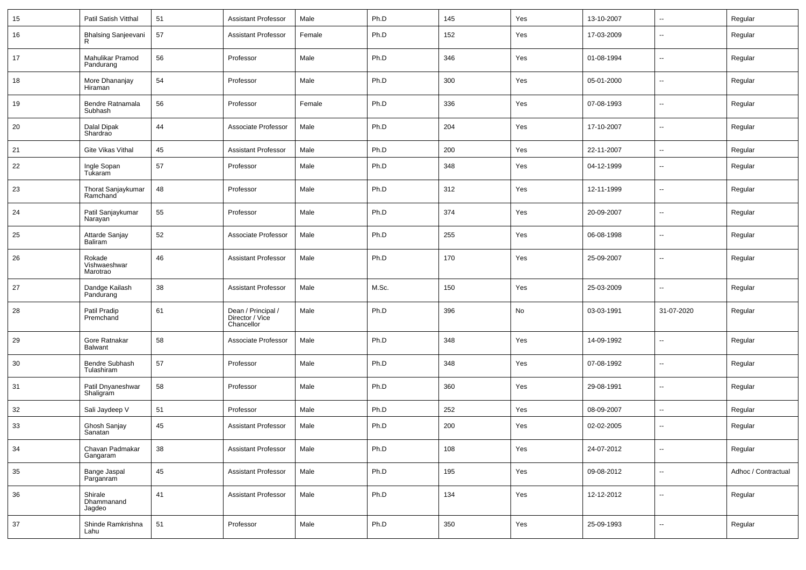| 15     | Patil Satish Vitthal               | 51 | <b>Assistant Professor</b>                          | Male   | Ph.D  | 145 | Yes | 13-10-2007 | $\overline{\phantom{a}}$ | Regular             |
|--------|------------------------------------|----|-----------------------------------------------------|--------|-------|-----|-----|------------|--------------------------|---------------------|
| 16     | <b>Bhalsing Sanjeevani</b>         | 57 | <b>Assistant Professor</b>                          | Female | Ph.D  | 152 | Yes | 17-03-2009 | $\overline{\phantom{a}}$ | Regular             |
| 17     | Mahulikar Pramod<br>Pandurang      | 56 | Professor                                           | Male   | Ph.D  | 346 | Yes | 01-08-1994 | $\overline{\phantom{a}}$ | Regular             |
| 18     | More Dhananjay<br>Hiraman          | 54 | Professor                                           | Male   | Ph.D  | 300 | Yes | 05-01-2000 | $\overline{\phantom{a}}$ | Regular             |
| 19     | Bendre Ratnamala<br>Subhash        | 56 | Professor                                           | Female | Ph.D  | 336 | Yes | 07-08-1993 | $\overline{\phantom{a}}$ | Regular             |
| 20     | Dalal Dipak<br>Shardrao            | 44 | Associate Professor                                 | Male   | Ph.D  | 204 | Yes | 17-10-2007 | $\overline{\phantom{a}}$ | Regular             |
| 21     | Gite Vikas Vithal                  | 45 | <b>Assistant Professor</b>                          | Male   | Ph.D  | 200 | Yes | 22-11-2007 | $\overline{\phantom{a}}$ | Regular             |
| 22     | Ingle Sopan<br>Tukaram             | 57 | Professor                                           | Male   | Ph.D  | 348 | Yes | 04-12-1999 | $\overline{\phantom{a}}$ | Regular             |
| 23     | Thorat Sanjaykumar<br>Ramchand     | 48 | Professor                                           | Male   | Ph.D  | 312 | Yes | 12-11-1999 | $\overline{\phantom{a}}$ | Regular             |
| 24     | Patil Sanjaykumar<br>Narayan       | 55 | Professor                                           | Male   | Ph.D  | 374 | Yes | 20-09-2007 | $\overline{\phantom{a}}$ | Regular             |
| 25     | Attarde Sanjay<br>Baliram          | 52 | Associate Professor                                 | Male   | Ph.D  | 255 | Yes | 06-08-1998 | $\overline{\phantom{a}}$ | Regular             |
| 26     | Rokade<br>Vishwaeshwar<br>Marotrao | 46 | <b>Assistant Professor</b>                          | Male   | Ph.D  | 170 | Yes | 25-09-2007 | --                       | Regular             |
| 27     | Dandge Kailash<br>Pandurang        | 38 | <b>Assistant Professor</b>                          | Male   | M.Sc. | 150 | Yes | 25-03-2009 | $\overline{\phantom{a}}$ | Regular             |
| 28     | Patil Pradip<br>Premchand          | 61 | Dean / Principal /<br>Director / Vice<br>Chancellor | Male   | Ph.D  | 396 | No  | 03-03-1991 | 31-07-2020               | Regular             |
| 29     | Gore Ratnakar<br><b>Balwant</b>    | 58 | Associate Professor                                 | Male   | Ph.D  | 348 | Yes | 14-09-1992 | $\overline{\phantom{a}}$ | Regular             |
| 30     | Bendre Subhash<br>Tulashiram       | 57 | Professor                                           | Male   | Ph.D  | 348 | Yes | 07-08-1992 | $\overline{\phantom{a}}$ | Regular             |
| 31     | Patil Dnyaneshwar<br>Shaligram     | 58 | Professor                                           | Male   | Ph.D  | 360 | Yes | 29-08-1991 | $\overline{\phantom{a}}$ | Regular             |
| 32     | Sali Jaydeep V                     | 51 | Professor                                           | Male   | Ph.D  | 252 | Yes | 08-09-2007 | ⊷.                       | Regular             |
| 33     | Ghosh Sanjay<br>Sanatan            | 45 | <b>Assistant Professor</b>                          | Male   | Ph.D  | 200 | Yes | 02-02-2005 | $\overline{\phantom{a}}$ | Regular             |
| 34     | Chavan Padmakar<br>Gangaram        | 38 | <b>Assistant Professor</b>                          | Male   | Ph.D  | 108 | Yes | 24-07-2012 | ₩,                       | Regular             |
| 35     | Bange Jaspal<br>Parganram          | 45 | <b>Assistant Professor</b>                          | Male   | Ph.D  | 195 | Yes | 09-08-2012 | Ξ.                       | Adhoc / Contractual |
| 36     | Shirale<br>Dhammanand<br>Jagdeo    | 41 | <b>Assistant Professor</b>                          | Male   | Ph.D  | 134 | Yes | 12-12-2012 | $\sim$                   | Regular             |
| $37\,$ | Shinde Ramkrishna<br>Lahu          | 51 | Professor                                           | Male   | Ph.D  | 350 | Yes | 25-09-1993 | ⊷.                       | Regular             |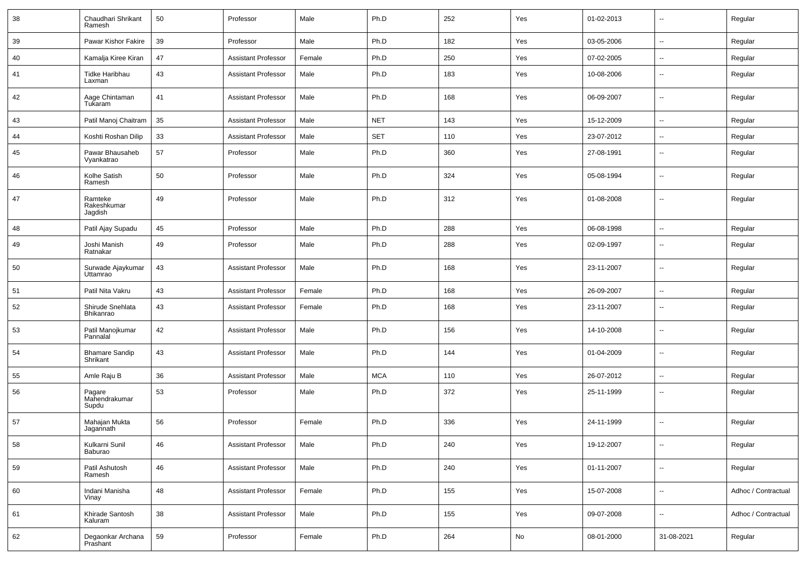| 38 | Chaudhari Shrikant<br>Ramesh      | 50         | Professor                  | Male   | Ph.D       | 252 | Yes | 01-02-2013 | $\sim$                   | Regular             |
|----|-----------------------------------|------------|----------------------------|--------|------------|-----|-----|------------|--------------------------|---------------------|
| 39 | Pawar Kishor Fakire               | 39         | Professor                  | Male   | Ph.D       | 182 | Yes | 03-05-2006 | $\sim$                   | Regular             |
| 40 | Kamalja Kiree Kiran               | 47         | <b>Assistant Professor</b> | Female | Ph.D       | 250 | Yes | 07-02-2005 | $\sim$                   | Regular             |
| 41 | Tidke Haribhau<br>Laxman          | 43         | <b>Assistant Professor</b> | Male   | Ph.D       | 183 | Yes | 10-08-2006 | $\overline{\phantom{a}}$ | Regular             |
| 42 | Aage Chintaman<br>Tukaram         | 41         | <b>Assistant Professor</b> | Male   | Ph.D       | 168 | Yes | 06-09-2007 | --                       | Regular             |
| 43 | Patil Manoj Chaitram              | 35         | <b>Assistant Professor</b> | Male   | <b>NET</b> | 143 | Yes | 15-12-2009 | $\sim$                   | Regular             |
| 44 | Koshti Roshan Dilip               | 33         | <b>Assistant Professor</b> | Male   | <b>SET</b> | 110 | Yes | 23-07-2012 | Ξ.                       | Regular             |
| 45 | Pawar Bhausaheb<br>Vyankatrao     | 57         | Professor                  | Male   | Ph.D       | 360 | Yes | 27-08-1991 | $\overline{\phantom{a}}$ | Regular             |
| 46 | Kolhe Satish<br>Ramesh            | 50         | Professor                  | Male   | Ph.D       | 324 | Yes | 05-08-1994 | --                       | Regular             |
| 47 | Ramteke<br>Rakeshkumar<br>Jagdish | 49         | Professor                  | Male   | Ph.D       | 312 | Yes | 01-08-2008 | $\overline{\phantom{a}}$ | Regular             |
| 48 | Patil Ajay Supadu                 | 45         | Professor                  | Male   | Ph.D       | 288 | Yes | 06-08-1998 | Ξ.                       | Regular             |
| 49 | Joshi Manish<br>Ratnakar          | 49         | Professor                  | Male   | Ph.D       | 288 | Yes | 02-09-1997 | $\overline{\phantom{a}}$ | Regular             |
| 50 | Surwade Ajaykumar<br>Uttamrao     | 43         | <b>Assistant Professor</b> | Male   | Ph.D       | 168 | Yes | 23-11-2007 | ۰.                       | Regular             |
| 51 | Patil Nita Vakru                  | 43         | <b>Assistant Professor</b> | Female | Ph.D       | 168 | Yes | 26-09-2007 | $\sim$                   | Regular             |
| 52 | Shirude Snehlata<br>Bhikanrao     | 43         | <b>Assistant Professor</b> | Female | Ph.D       | 168 | Yes | 23-11-2007 | Ξ.                       | Regular             |
| 53 | Patil Manojkumar<br>Pannalal      | 42         | <b>Assistant Professor</b> | Male   | Ph.D       | 156 | Yes | 14-10-2008 | --                       | Regular             |
| 54 | <b>Bhamare Sandip</b><br>Shrikant | 43         | <b>Assistant Professor</b> | Male   | Ph.D       | 144 | Yes | 01-04-2009 | Ξ.                       | Regular             |
| 55 | Amle Raju B                       | 36         | <b>Assistant Professor</b> | Male   | <b>MCA</b> | 110 | Yes | 26-07-2012 | Ξ.                       | Regular             |
| 56 | Pagare<br>Mahendrakumar<br>Supdu  | 53         | Professor                  | Male   | Ph.D       | 372 | Yes | 25-11-1999 | $\sim$                   | Regular             |
| 57 | Mahajan Mukta<br>Jagannath        | 56         | Professor                  | Female | Ph.D       | 336 | Yes | 24-11-1999 | --                       | Regular             |
| 58 | Kulkarni Sunil<br>Baburao         | ${\bf 46}$ | <b>Assistant Professor</b> | Male   | Ph.D       | 240 | Yes | 19-12-2007 | $\overline{\phantom{a}}$ | Regular             |
| 59 | Patil Ashutosh<br>Ramesh          | 46         | <b>Assistant Professor</b> | Male   | Ph.D       | 240 | Yes | 01-11-2007 | $\overline{\phantom{a}}$ | Regular             |
| 60 | Indani Manisha<br>Vinay           | 48         | <b>Assistant Professor</b> | Female | Ph.D       | 155 | Yes | 15-07-2008 | Ξ.                       | Adhoc / Contractual |
| 61 | Khirade Santosh<br>Kaluram        | 38         | <b>Assistant Professor</b> | Male   | Ph.D       | 155 | Yes | 09-07-2008 | ÷.                       | Adhoc / Contractual |
| 62 | Degaonkar Archana<br>Prashant     | 59         | Professor                  | Female | Ph.D       | 264 | No  | 08-01-2000 | 31-08-2021               | Regular             |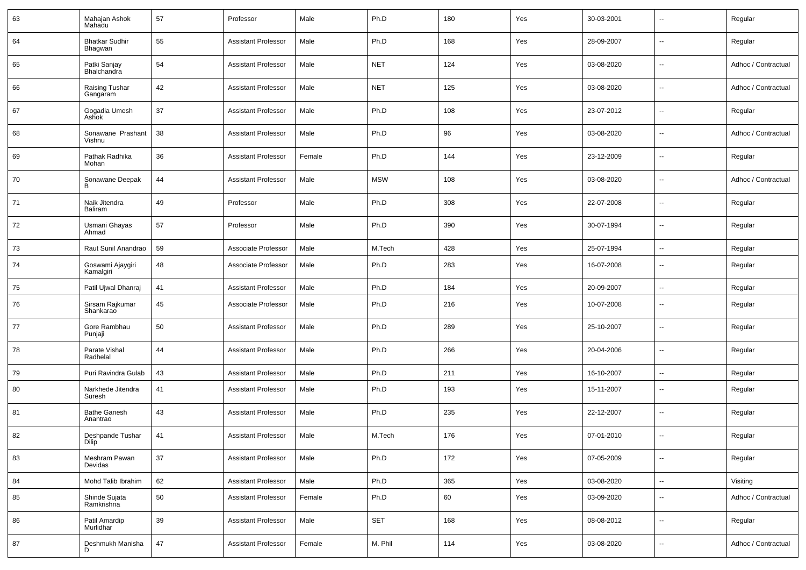| 63 | Mahajan Ashok<br>Mahadu            | 57 | Professor                  | Male   | Ph.D       | 180 | Yes | 30-03-2001 | --                       | Regular             |
|----|------------------------------------|----|----------------------------|--------|------------|-----|-----|------------|--------------------------|---------------------|
| 64 | <b>Bhatkar Sudhir</b><br>Bhagwan   | 55 | <b>Assistant Professor</b> | Male   | Ph.D       | 168 | Yes | 28-09-2007 | --                       | Regular             |
| 65 | Patki Sanjay<br><b>Bhalchandra</b> | 54 | <b>Assistant Professor</b> | Male   | <b>NET</b> | 124 | Yes | 03-08-2020 | $\overline{\phantom{a}}$ | Adhoc / Contractual |
| 66 | Raising Tushar<br>Gangaram         | 42 | <b>Assistant Professor</b> | Male   | <b>NET</b> | 125 | Yes | 03-08-2020 | $\overline{\phantom{a}}$ | Adhoc / Contractual |
| 67 | Gogadia Umesh<br>Ashok             | 37 | <b>Assistant Professor</b> | Male   | Ph.D       | 108 | Yes | 23-07-2012 | --                       | Regular             |
| 68 | Sonawane Prashant<br>Vishnu        | 38 | <b>Assistant Professor</b> | Male   | Ph.D       | 96  | Yes | 03-08-2020 | $\overline{\phantom{a}}$ | Adhoc / Contractual |
| 69 | Pathak Radhika<br>Mohan            | 36 | <b>Assistant Professor</b> | Female | Ph.D       | 144 | Yes | 23-12-2009 | $\overline{\phantom{a}}$ | Regular             |
| 70 | Sonawane Deepak                    | 44 | <b>Assistant Professor</b> | Male   | <b>MSW</b> | 108 | Yes | 03-08-2020 | ۰.                       | Adhoc / Contractual |
| 71 | Naik Jitendra<br>Baliram           | 49 | Professor                  | Male   | Ph.D       | 308 | Yes | 22-07-2008 | $\overline{a}$           | Regular             |
| 72 | Usmani Ghayas<br>Ahmad             | 57 | Professor                  | Male   | Ph.D       | 390 | Yes | 30-07-1994 | $\overline{a}$           | Regular             |
| 73 | Raut Sunil Anandrao                | 59 | Associate Professor        | Male   | M.Tech     | 428 | Yes | 25-07-1994 | --                       | Regular             |
| 74 | Goswami Ajaygiri<br>Kamalgiri      | 48 | Associate Professor        | Male   | Ph.D       | 283 | Yes | 16-07-2008 | $\overline{a}$           | Regular             |
| 75 | Patil Ujwal Dhanraj                | 41 | <b>Assistant Professor</b> | Male   | Ph.D       | 184 | Yes | 20-09-2007 | --                       | Regular             |
| 76 | Sirsam Rajkumar<br>Shankarao       | 45 | Associate Professor        | Male   | Ph.D       | 216 | Yes | 10-07-2008 | ۰.                       | Regular             |
| 77 | Gore Rambhau<br>Punjaji            | 50 | <b>Assistant Professor</b> | Male   | Ph.D       | 289 | Yes | 25-10-2007 | $\overline{a}$           | Regular             |
| 78 | Parate Vishal<br>Radhelal          | 44 | <b>Assistant Professor</b> | Male   | Ph.D       | 266 | Yes | 20-04-2006 | $\overline{\phantom{a}}$ | Regular             |
| 79 | Puri Ravindra Gulab                | 43 | <b>Assistant Professor</b> | Male   | Ph.D       | 211 | Yes | 16-10-2007 | $\overline{a}$           | Regular             |
| 80 | Narkhede Jitendra<br>Suresh        | 41 | <b>Assistant Professor</b> | Male   | Ph.D       | 193 | Yes | 15-11-2007 | ۰.                       | Regular             |
| 81 | <b>Bathe Ganesh</b><br>Anantrao    | 43 | <b>Assistant Professor</b> | Male   | Ph.D       | 235 | Yes | 22-12-2007 | --                       | Regular             |
| 82 | Deshpande Tushar<br>Dilip          | 41 | <b>Assistant Professor</b> | Male   | M.Tech     | 176 | Yes | 07-01-2010 | ۰.                       | Regular             |
| 83 | Meshram Pawan<br>Devidas           | 37 | <b>Assistant Professor</b> | Male   | Ph.D       | 172 | Yes | 07-05-2009 | Ξ.                       | Regular             |
| 84 | Mohd Talib Ibrahim                 | 62 | <b>Assistant Professor</b> | Male   | Ph.D       | 365 | Yes | 03-08-2020 | Ξ.                       | Visiting            |
| 85 | Shinde Sujata<br>Ramkrishna        | 50 | <b>Assistant Professor</b> | Female | Ph.D       | 60  | Yes | 03-09-2020 | u.                       | Adhoc / Contractual |
| 86 | Patil Amardip<br>Murlidhar         | 39 | <b>Assistant Professor</b> | Male   | <b>SET</b> | 168 | Yes | 08-08-2012 | Ξ.                       | Regular             |
| 87 | Deshmukh Manisha<br>D              | 47 | <b>Assistant Professor</b> | Female | M. Phil    | 114 | Yes | 03-08-2020 | --                       | Adhoc / Contractual |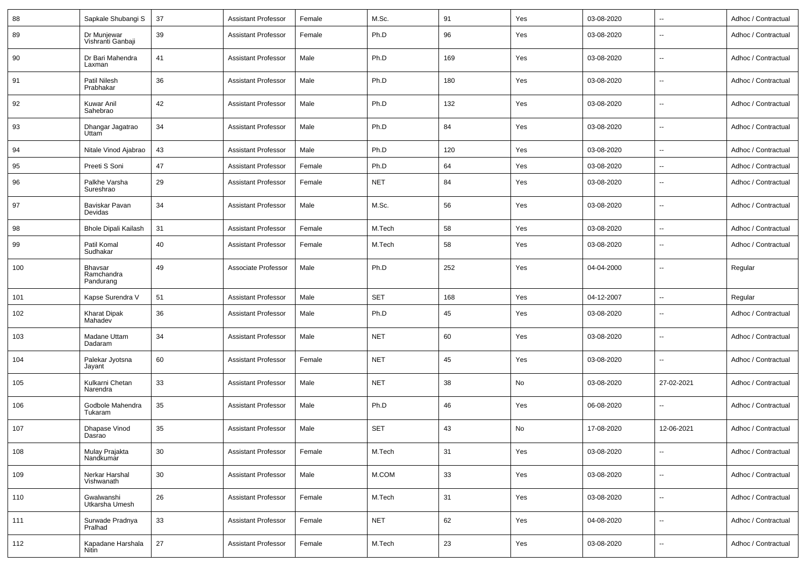| 88  | Sapkale Shubangi S                        | 37 | Assistant Professor        | Female | M.Sc.      | 91  | Yes | 03-08-2020 | $\overline{a}$           | Adhoc / Contractual |
|-----|-------------------------------------------|----|----------------------------|--------|------------|-----|-----|------------|--------------------------|---------------------|
| 89  | Dr Munjewar<br>Vishranti Ganbaji          | 39 | Assistant Professor        | Female | Ph.D       | 96  | Yes | 03-08-2020 | ۰.                       | Adhoc / Contractual |
| 90  | Dr Bari Mahendra<br>Laxman                | 41 | Assistant Professor        | Male   | Ph.D       | 169 | Yes | 03-08-2020 | --                       | Adhoc / Contractual |
| 91  | Patil Nilesh<br>Prabhakar                 | 36 | Assistant Professor        | Male   | Ph.D       | 180 | Yes | 03-08-2020 | --                       | Adhoc / Contractual |
| 92  | Kuwar Anil<br>Sahebrao                    | 42 | <b>Assistant Professor</b> | Male   | Ph.D       | 132 | Yes | 03-08-2020 | --                       | Adhoc / Contractual |
| 93  | Dhangar Jagatrao<br>Uttam                 | 34 | Assistant Professor        | Male   | Ph.D       | 84  | Yes | 03-08-2020 | ۰.                       | Adhoc / Contractual |
| 94  | Nitale Vinod Ajabrao                      | 43 | Assistant Professor        | Male   | Ph.D       | 120 | Yes | 03-08-2020 | --                       | Adhoc / Contractual |
| 95  | Preeti S Soni                             | 47 | Assistant Professor        | Female | Ph.D       | 64  | Yes | 03-08-2020 | --                       | Adhoc / Contractual |
| 96  | Palkhe Varsha<br>Sureshrao                | 29 | <b>Assistant Professor</b> | Female | <b>NET</b> | 84  | Yes | 03-08-2020 | $-$                      | Adhoc / Contractual |
| 97  | Baviskar Pavan<br>Devidas                 | 34 | <b>Assistant Professor</b> | Male   | M.Sc.      | 56  | Yes | 03-08-2020 | ۰.                       | Adhoc / Contractual |
| 98  | <b>Bhole Dipali Kailash</b>               | 31 | Assistant Professor        | Female | M.Tech     | 58  | Yes | 03-08-2020 | ۰.                       | Adhoc / Contractual |
| 99  | Patil Komal<br>Sudhakar                   | 40 | Assistant Professor        | Female | M.Tech     | 58  | Yes | 03-08-2020 | $\overline{\phantom{a}}$ | Adhoc / Contractual |
| 100 | <b>Bhavsar</b><br>Ramchandra<br>Pandurang | 49 | Associate Professor        | Male   | Ph.D       | 252 | Yes | 04-04-2000 | $\overline{\phantom{a}}$ | Regular             |
| 101 | Kapse Surendra V                          | 51 | <b>Assistant Professor</b> | Male   | <b>SET</b> | 168 | Yes | 04-12-2007 | $\overline{\phantom{a}}$ | Regular             |
| 102 | <b>Kharat Dipak</b><br>Mahadev            | 36 | <b>Assistant Professor</b> | Male   | Ph.D       | 45  | Yes | 03-08-2020 | ۰.                       | Adhoc / Contractual |
| 103 | Madane Uttam<br>Dadaram                   | 34 | <b>Assistant Professor</b> | Male   | <b>NET</b> | 60  | Yes | 03-08-2020 | $\sim$                   | Adhoc / Contractual |
| 104 | Palekar Jyotsna<br>Jayant                 | 60 | <b>Assistant Professor</b> | Female | <b>NET</b> | 45  | Yes | 03-08-2020 | $\sim$                   | Adhoc / Contractual |
| 105 | Kulkarni Chetan<br>Narendra               | 33 | <b>Assistant Professor</b> | Male   | <b>NET</b> | 38  | No  | 03-08-2020 | 27-02-2021               | Adhoc / Contractual |
| 106 | Godbole Mahendra<br>Tukaram               | 35 | <b>Assistant Professor</b> | Male   | Ph.D       | 46  | Yes | 06-08-2020 | --                       | Adhoc / Contractual |
| 107 | Dhapase Vinod<br>Dasrao                   | 35 | <b>Assistant Professor</b> | Male   | <b>SET</b> | 43  | No  | 17-08-2020 | 12-06-2021               | Adhoc / Contractual |
| 108 | Mulay Prajakta<br>Nandkumar               | 30 | <b>Assistant Professor</b> | Female | M.Tech     | 31  | Yes | 03-08-2020 | $\overline{\phantom{a}}$ | Adhoc / Contractual |
| 109 | Nerkar Harshal<br>Vishwanath              | 30 | <b>Assistant Professor</b> | Male   | M.COM      | 33  | Yes | 03-08-2020 | Ξ.                       | Adhoc / Contractual |
| 110 | Gwalwanshi<br>Utkarsha Umesh              | 26 | <b>Assistant Professor</b> | Female | M.Tech     | 31  | Yes | 03-08-2020 | $\overline{\phantom{a}}$ | Adhoc / Contractual |
| 111 | Surwade Pradnya<br>Pralhad                | 33 | <b>Assistant Professor</b> | Female | <b>NET</b> | 62  | Yes | 04-08-2020 | $\overline{\phantom{a}}$ | Adhoc / Contractual |
| 112 | Kapadane Harshala<br>Nitin                | 27 | <b>Assistant Professor</b> | Female | M.Tech     | 23  | Yes | 03-08-2020 | $\overline{\phantom{a}}$ | Adhoc / Contractual |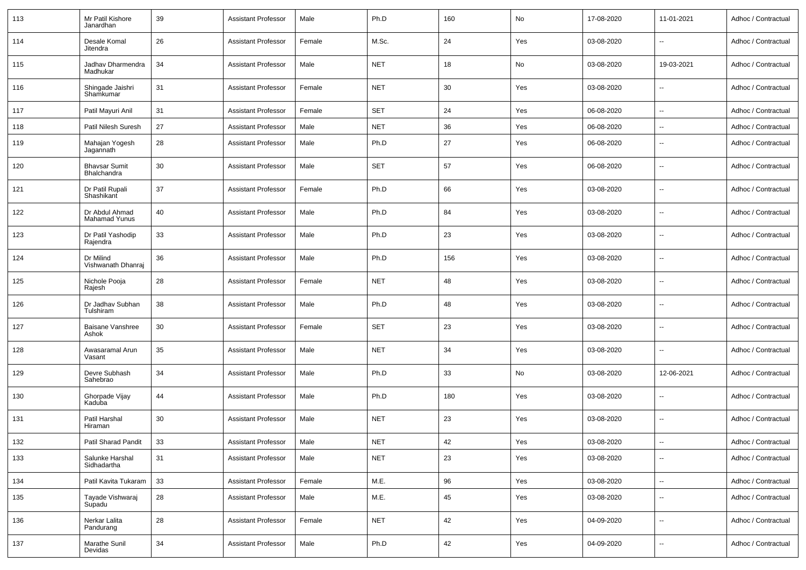| 113 | Mr Patil Kishore<br>Janardhan          | 39 | <b>Assistant Professor</b> | Male   | Ph.D       | 160 | No  | 17-08-2020 | 11-01-2021               | Adhoc / Contractual |
|-----|----------------------------------------|----|----------------------------|--------|------------|-----|-----|------------|--------------------------|---------------------|
| 114 | Desale Komal<br>Jitendra               | 26 | <b>Assistant Professor</b> | Female | M.Sc.      | 24  | Yes | 03-08-2020 | $\overline{\phantom{a}}$ | Adhoc / Contractual |
| 115 | Jadhav Dharmendra<br>Madhukar          | 34 | <b>Assistant Professor</b> | Male   | <b>NET</b> | 18  | No  | 03-08-2020 | 19-03-2021               | Adhoc / Contractual |
| 116 | Shingade Jaishri<br>Shamkumar          | 31 | <b>Assistant Professor</b> | Female | NET        | 30  | Yes | 03-08-2020 | $\sim$                   | Adhoc / Contractual |
| 117 | Patil Mayuri Anil                      | 31 | <b>Assistant Professor</b> | Female | <b>SET</b> | 24  | Yes | 06-08-2020 | $\overline{\phantom{a}}$ | Adhoc / Contractual |
| 118 | Patil Nilesh Suresh                    | 27 | <b>Assistant Professor</b> | Male   | <b>NET</b> | 36  | Yes | 06-08-2020 | Ξ.                       | Adhoc / Contractual |
| 119 | Mahajan Yogesh<br>Jagannath            | 28 | <b>Assistant Professor</b> | Male   | Ph.D       | 27  | Yes | 06-08-2020 | $\sim$                   | Adhoc / Contractual |
| 120 | <b>Bhavsar Sumit</b><br>Bhalchandra    | 30 | <b>Assistant Professor</b> | Male   | <b>SET</b> | 57  | Yes | 06-08-2020 | $\sim$                   | Adhoc / Contractual |
| 121 | Dr Patil Rupali<br>Shashikant          | 37 | <b>Assistant Professor</b> | Female | Ph.D       | 66  | Yes | 03-08-2020 | $\sim$                   | Adhoc / Contractual |
| 122 | Dr Abdul Ahmad<br><b>Mahamad Yunus</b> | 40 | <b>Assistant Professor</b> | Male   | Ph.D       | 84  | Yes | 03-08-2020 | $\sim$                   | Adhoc / Contractual |
| 123 | Dr Patil Yashodip<br>Rajendra          | 33 | <b>Assistant Professor</b> | Male   | Ph.D       | 23  | Yes | 03-08-2020 | $\sim$                   | Adhoc / Contractual |
| 124 | Dr Milind<br>Vishwanath Dhanraj        | 36 | <b>Assistant Professor</b> | Male   | Ph.D       | 156 | Yes | 03-08-2020 | $\sim$                   | Adhoc / Contractual |
| 125 | Nichole Pooja<br>Rajesh                | 28 | <b>Assistant Professor</b> | Female | <b>NET</b> | 48  | Yes | 03-08-2020 | $\sim$                   | Adhoc / Contractual |
| 126 | Dr Jadhav Subhan<br>Tulshiram          | 38 | <b>Assistant Professor</b> | Male   | Ph.D       | 48  | Yes | 03-08-2020 | $\sim$                   | Adhoc / Contractual |
| 127 | Baisane Vanshree<br>Ashok              | 30 | <b>Assistant Professor</b> | Female | SET        | 23  | Yes | 03-08-2020 | $\sim$                   | Adhoc / Contractual |
| 128 | Awasaramal Arun<br>Vasant              | 35 | <b>Assistant Professor</b> | Male   | <b>NET</b> | 34  | Yes | 03-08-2020 | $\sim$                   | Adhoc / Contractual |
| 129 | Devre Subhash<br>Sahebrao              | 34 | <b>Assistant Professor</b> | Male   | Ph.D       | 33  | No  | 03-08-2020 | 12-06-2021               | Adhoc / Contractual |
| 130 | Ghorpade Vijay<br>Kaduba               | 44 | <b>Assistant Professor</b> | Male   | Ph.D       | 180 | Yes | 03-08-2020 | $\sim$                   | Adhoc / Contractual |
| 131 | Patil Harshal<br>Hiraman               | 30 | <b>Assistant Professor</b> | Male   | <b>NET</b> | 23  | Yes | 03-08-2020 | $\sim$                   | Adhoc / Contractual |
| 132 | Patil Sharad Pandit                    | 33 | <b>Assistant Professor</b> | Male   | NET        | 42  | Yes | 03-08-2020 | $\rightarrow$            | Adhoc / Contractual |
| 133 | Salunke Harshal<br>Sidhadartha         | 31 | <b>Assistant Professor</b> | Male   | <b>NET</b> | 23  | Yes | 03-08-2020 | $\sim$                   | Adhoc / Contractual |
| 134 | Patil Kavita Tukaram                   | 33 | <b>Assistant Professor</b> | Female | M.E.       | 96  | Yes | 03-08-2020 | $\sim$                   | Adhoc / Contractual |
| 135 | Tayade Vishwaraj<br>Supadu             | 28 | <b>Assistant Professor</b> | Male   | M.E.       | 45  | Yes | 03-08-2020 | $\overline{\phantom{a}}$ | Adhoc / Contractual |
| 136 | Nerkar Lalita<br>Pandurang             | 28 | <b>Assistant Professor</b> | Female | <b>NET</b> | 42  | Yes | 04-09-2020 | $\sim$                   | Adhoc / Contractual |
| 137 | Marathe Sunil<br>Devidas               | 34 | <b>Assistant Professor</b> | Male   | Ph.D       | 42  | Yes | 04-09-2020 | $\rightarrow$            | Adhoc / Contractual |